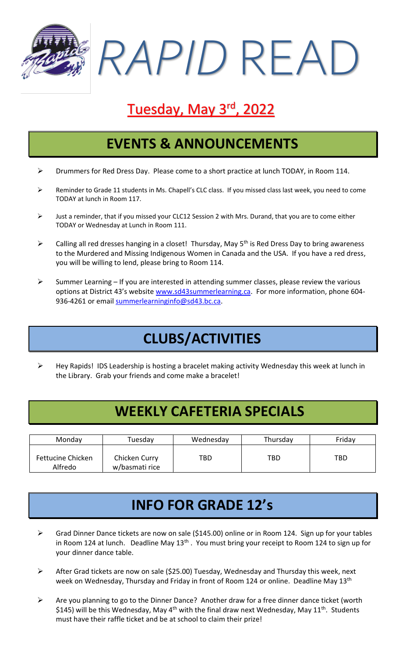*RAPID* READ

# Tuesday, May 3rd, 2022

### **EVENTS & ANNOUNCEMENTS**

- ➢ Drummers for Red Dress Day. Please come to a short practice at lunch TODAY, in Room 114.
- ➢ Reminder to Grade 11 students in Ms. Chapell's CLC class. If you missed class last week, you need to come TODAY at lunch in Room 117.
- ➢ Just a reminder, that if you missed your CLC12 Session 2 with Mrs. Durand, that you are to come either TODAY or Wednesday at Lunch in Room 111.
- $\triangleright$  Calling all red dresses hanging in a closet! Thursday, May 5<sup>th</sup> is Red Dress Day to bring awareness to the Murdered and Missing Indigenous Women in Canada and the USA. If you have a red dress, you will be willing to lend, please bring to Room 114.
- $\triangleright$  Summer Learning If you are interested in attending summer classes, please review the various options at District 43's website [www.sd43summerlearning.ca.](http://www.sd43summerlearning.ca/) For more information, phone 604936-4261 or email [summerlearninginfo@sd43.bc.ca.](mailto:summerlearninginfo@sd43.bc.ca)

## **CLUBS/ACTIVITIES**

➢ Hey Rapids! IDS Leadership is hosting a bracelet making activity Wednesday this week at lunch in the Library. Grab your friends and come make a bracelet!

### **WEEKLY CAFETERIA SPECIALS**

| Monday                       | Tuesday                         | Wednesday | Thursday | Friday |
|------------------------------|---------------------------------|-----------|----------|--------|
| Fettucine Chicken<br>Alfredo | Chicken Curry<br>w/basmati rice | TBD       | TBD      | TBD    |

## **INFO FOR GRADE 12's**

- ➢ Grad Dinner Dance tickets are now on sale (\$145.00) online or in Room 124. Sign up for your tables in Room 124 at lunch. Deadline May 13<sup>th</sup>. You must bring your receipt to Room 124 to sign up for your dinner dance table.
- ➢ After Grad tickets are now on sale (\$25.00) Tuesday, Wednesday and Thursday this week, next week on Wednesday, Thursday and Friday in front of Room 124 or online. Deadline May 13<sup>th</sup>
- ➢ Are you planning to go to the Dinner Dance? Another draw for a free dinner dance ticket (worth \$145) will be this Wednesday, May 4<sup>th</sup> with the final draw next Wednesday, May 11<sup>th</sup>. Students must have their raffle ticket and be at school to claim their prize!